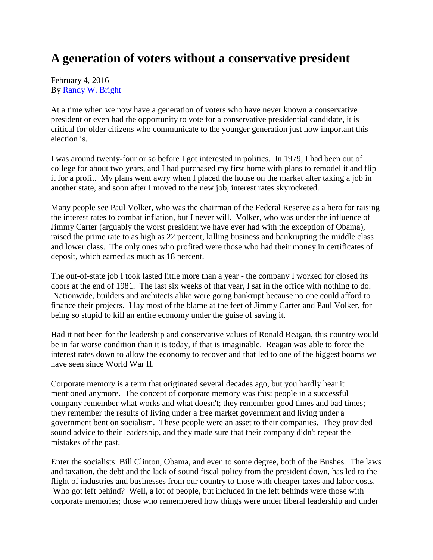## **A generation of voters without a conservative president**

## February 4, 2016 By [Randy W. Bright](http://www.tulsabeacon.com/author/slug-o6yd1v)

At a time when we now have a generation of voters who have never known a conservative president or even had the opportunity to vote for a conservative presidential candidate, it is critical for older citizens who communicate to the younger generation just how important this election is.

I was around twenty-four or so before I got interested in politics. In 1979, I had been out of college for about two years, and I had purchased my first home with plans to remodel it and flip it for a profit. My plans went awry when I placed the house on the market after taking a job in another state, and soon after I moved to the new job, interest rates skyrocketed.

Many people see Paul Volker, who was the chairman of the Federal Reserve as a hero for raising the interest rates to combat inflation, but I never will. Volker, who was under the influence of Jimmy Carter (arguably the worst president we have ever had with the exception of Obama), raised the prime rate to as high as 22 percent, killing business and bankrupting the middle class and lower class. The only ones who profited were those who had their money in certificates of deposit, which earned as much as 18 percent.

The out-of-state job I took lasted little more than a year - the company I worked for closed its doors at the end of 1981. The last six weeks of that year, I sat in the office with nothing to do. Nationwide, builders and architects alike were going bankrupt because no one could afford to finance their projects. I lay most of the blame at the feet of Jimmy Carter and Paul Volker, for being so stupid to kill an entire economy under the guise of saving it.

Had it not been for the leadership and conservative values of Ronald Reagan, this country would be in far worse condition than it is today, if that is imaginable. Reagan was able to force the interest rates down to allow the economy to recover and that led to one of the biggest booms we have seen since World War II.

Corporate memory is a term that originated several decades ago, but you hardly hear it mentioned anymore. The concept of corporate memory was this: people in a successful company remember what works and what doesn't; they remember good times and bad times; they remember the results of living under a free market government and living under a government bent on socialism. These people were an asset to their companies. They provided sound advice to their leadership, and they made sure that their company didn't repeat the mistakes of the past.

Enter the socialists: Bill Clinton, Obama, and even to some degree, both of the Bushes. The laws and taxation, the debt and the lack of sound fiscal policy from the president down, has led to the flight of industries and businesses from our country to those with cheaper taxes and labor costs. Who got left behind? Well, a lot of people, but included in the left behinds were those with corporate memories; those who remembered how things were under liberal leadership and under